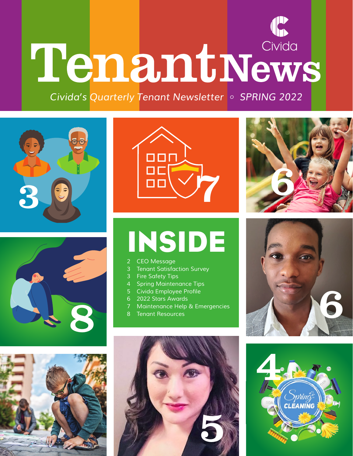# TenantNews

*Civida's Quarterly Tenant Newsletter • SPRING 2022*













# INSIDE

- *CEO Message*
- *Tenant Satisfaction Survey*
- *Fire Safety Tips*
- *Spring Maintenance Tips*
- 5 Civida Employee Profile
- *2022 Stars Awards*
- *Maintenance Help & Emergencies*
- *Tenant Resources*



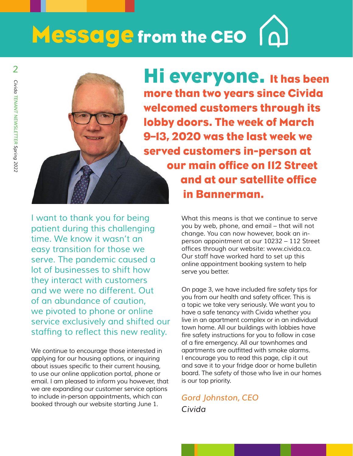# Message from the CEO

**Hi everyone.** It has been more than two years since Civida welcomed customers through its lobby doors. The week of March 9–13, 2020 was the last week we served customers in-person at our main office on 112 Street and at our satellite office in Bannerman.

*I want to thank you for being patient during this challenging time. We know it wasn't an easy transition for those we serve. The pandemic caused a lot of businesses to shift how they interact with customers and we were no different. Out of an abundance of caution, we pivoted to phone or online service exclusively and shifted our*  staffing to reflect this new reality.

*We continue to encourage those interested in applying for our housing options, or inquiring*  about issues specific to their current housing, *to use our online application portal, phone or email. I am pleased to inform you however, that we are expanding our customer service options to include in-person appointments, which can booked through our website starting June 1.* 

*What this means is that we continue to serve you by web, phone, and email – that will not change. You can now however, book an inperson appointment at our 10232 – 112 Street*  offices through our website: www.civida.ca. *Our staff have worked hard to set up this online appointment booking system to help serve you better.* 

On page 3, we have included fire safety tips for you from our health and safety officer. This is *a topic we take very seriously. We want you to have a safe tenancy with Civida whether you live in an apartment complex or in an individual town home. All our buildings with lobbies have*  fire safety instructions for you to follow in case of a fire emergency. All our townhomes and apartments are outfitted with smoke alarms. *I encourage you to read this page, clip it out and save it to your fridge door or home bulletin board. The safety of those who live in our homes is our top priority.* 

*Gord Johnston, CEO Civida*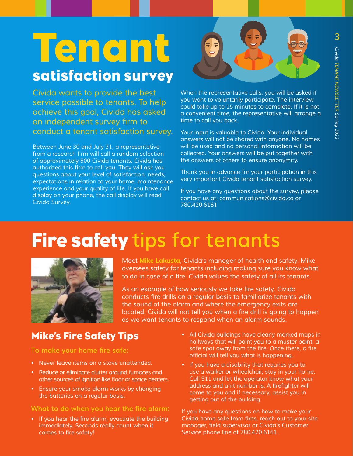## **Tenant** satisfaction survey

*Civida wants to provide the best service possible to tenants. To help achieve this goal, Civida has asked*  an independent survey firm to *conduct a tenant satisfaction survey.*

*Between June 30 and July 31, a representative*  from a research firm will call a random selection *of approximately 500 Civida tenants. Civida has*  authorized this firm to call you. They will ask you *questions about your level of satisfaction, needs, expectations in relation to your home, maintenance experience and your quality of life. If you have call display on your phone, the call display will read Civida Survey.* 



*When the representative calls, you will be asked if you want to voluntarily participate. The interview could take up to 15 minutes to complete. If it is not a convenient time, the representative will arrange a time to call you back.* 

*Your input is valuable to Civida. Your individual answers will not be shared with anyone. No names will be used and no personal information will be collected. Your answers will be put together with the answers of others to ensure anonymity.*

*Thank you in advance for your participation in this very important Civida tenant satisfaction survey.*

*If you have any questions about the survey, please*  contact us at: communications@civida.ca or *780.420.6161*

### Fire safety **tips for tenants**



*Meet* **Mike Lakusta***, Civida's manager of health and safety. Mike oversees safety for tenants including making sure you know what*  to do in case of a fire. Civida values the safety of all its tenants.

As an example of how seriously we take fire safety, Civida conducts fire drills on a regular basis to familiarize tenants with *the sound of the alarm and where the emergency exits are*  located. Civida will not tell you when a fire drill is going to happen *as we want tenants to respond when an alarm sounds.*

### Mike's Fire Safety Tips

**To make your home fire safe:**

- *• Never leave items on a stove unattended.*
- *• Reduce or eliminate clutter around furnaces and*  other sources of ignition like floor or space heaters.
- *• Ensure your smoke alarm works by changing the batteries on a regular basis.*

#### **What to do when you hear the fire alarm:**

• If you hear the fire alarm, evacuate the building *immediately. Seconds really count when it*  comes to fire safety!

- *• All Civida buildings have clearly marked maps in hallways that will point you to a muster point, a*  safe spot away from the fire. Once there, a fire official will tell you what is happening.
- *• If you have a disability that requires you to use a walker or wheelchair, stay in your home. Call 911 and let the operator know what your*  address and unit number is. A firefighter will *come to you and if necessary, assist you in getting out of the building.*

*If you have any questions on how to make your*  Civida home safe from fires, reach out to your site manager, field supervisor or Civida's Customer *Service phone line at 780.420.6161.*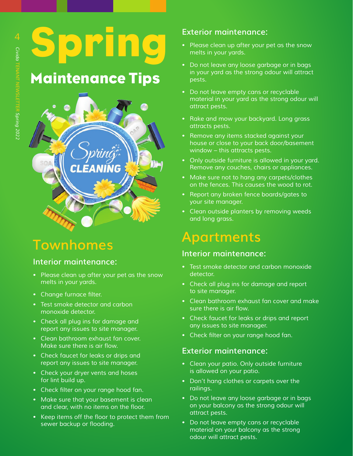Spring

### Maintenance Tips



### **Townhomes**

#### **Interior maintenance:**

- *• Please clean up after your pet as the snow melts in your yards.*
- Change furnace filter.
- *• Test smoke detector and carbon monoxide detector.*
- *• Check all plug ins for damage and report any issues to site manager.*
- *• Clean bathroom exhaust fan cover.*  Make sure there is air flow.
- *• Check faucet for leaks or drips and report any issues to site manager.*
- *• Check your dryer vents and hoses for lint build up.*
- Check filter on your range hood fan.
- *• Make sure that your basement is clean*  and clear, with no items on the floor.
- • Keep items off the floor to protect them from sewer backup or flooding.

#### **Exterior maintenance:**

- *• Please clean up after your pet as the snow melts in your yards.*
- *• Do not leave any loose garbage or in bags in your yard as the strong odour will attract pests.*
- *• Do not leave empty cans or recyclable material in your yard as the strong odour will attract pests.*
- *• Rake and mow your backyard. Long grass attracts pests.*
- *• Remove any items stacked against your house or close to your back door/basement window – this attracts pests.*
- *• Only outside furniture is allowed in your yard. Remove any couches, chairs or appliances.*
- *• Make sure not to hang any carpets/clothes on the fences. This causes the wood to rot.*
- *• Report any broken fence boards/gates to your site manager.*
- *• Clean outside planters by removing weeds and long grass.*

### **Apartments**

#### **Interior maintenance:**

- *• Test smoke detector and carbon monoxide detector.*
- *• Check all plug ins for damage and report to site manager.*
- *• Clean bathroom exhaust fan cover and make*  sure there is air flow.
- *• Check faucet for leaks or drips and report any issues to site manager.*
- Check filter on your range hood fan.

#### **Exterior maintenance:**

- *• Clean your patio. Only outside furniture is allowed on your patio.*
- *• Don't hang clothes or carpets over the railings.*
- *• Do not leave any loose garbage or in bags on your balcony as the strong odour will attract pests.*
- *• Do not leave empty cans or recyclable material on your balcony as the strong odour will attract pests.*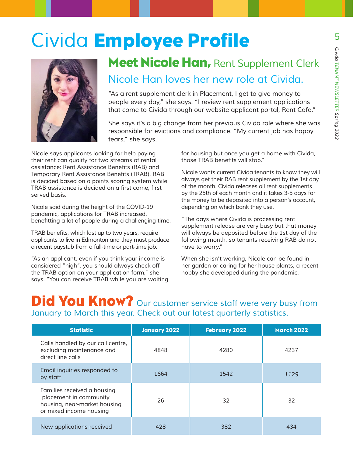### *Civida* Employee Profile



### Meet Nicole Han, *Rent Supplement Clerk Nicole Han loves her new role at Civida.*

*"As a rent supplement clerk in Placement, I get to give money to people every day," she says. "I review rent supplement applications that come to Civida through our website applicant portal, Rent Cafe."*

*She says it's a big change from her previous Civida role where she was responsible for evictions and compliance. "My current job has happy tears," she says.* 

*Nicole says applicants looking for help paying their rent can qualify for two streams of rental*  assistance: Rent Assistance Benefits (RAB) and Temporary Rent Assistance Benefits (TRAB). RAB *is decided based on a points scoring system while*  TRAB assistance is decided on a first come, first *served basis.* 

*Nicole said during the height of the COVID-19 pandemic, applications for TRAB increased,*  benefitting a lot of people during a challenging time.

TRAB benefits, which last up to two years, require *applicants to live in Edmonton and they must produce a recent paystub from a full-time or part-time job.* 

*"As an applicant, even if you think your income is considered "high", you should always check off the TRAB option on your application form," she says. "You can receive TRAB while you are waiting*  *for housing but once you get a home with Civida,*  those TRAB benefits will stop."

*Nicole wants current Civida tenants to know they will always get their RAB rent supplement by the 1st day of the month. Civida releases all rent supplements by the 25th of each month and it takes 3-5 days for the money to be deposited into a person's account, depending on which bank they use.*

*"The days where Civida is processing rent supplement release are very busy but that money will always be deposited before the 1st day of the following month, so tenants receiving RAB do not have to worry."* 

*When she isn't working, Nicole can be found in her garden or caring for her house plants, a recent hobby she developed during the pandemic.* 

### **Did You Know?** Our customer service staff were very busy from *January to March this year. Check out our latest quarterly statistics.*

| <b>Statistic</b>                                                                                                 | <b>January 2022</b> | <b>February 2022</b> | <b>March 2022</b> |
|------------------------------------------------------------------------------------------------------------------|---------------------|----------------------|-------------------|
| Calls handled by our call centre,<br>excluding maintenance and<br>direct line calls                              | 4848                | 4280                 | 4237              |
| Email inquiries responded to<br>by staff                                                                         | 1664                | 1542                 | 1129              |
| Families received a housing<br>placement in community<br>housing, near-market housing<br>or mixed income housing | 26                  | 32                   | 32                |
| New applications received                                                                                        | 428                 | 382                  | 434               |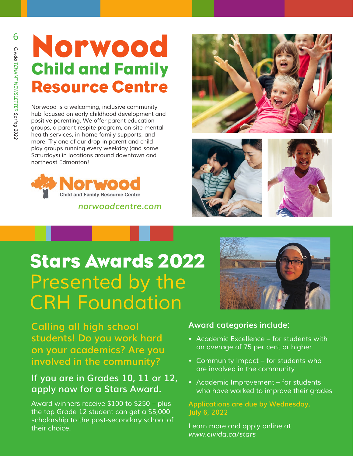### Norwood Child and Family Resource Centre

*Norwood is a welcoming, inclusive community hub focused on early childhood development and positive parenting. We offer parent education groups, a parent respite program, on-site mental health services, in-home family supports, and more. Try one of our drop-in parent and child*  play groups running every weekday (and some Saturdays) in locations around downtown and northeast Edmonton!



 *norwoodcentre.com*







### Stars Awards 2022 *Presented by the CRH Foundation*

**Calling all high school students! Do you work hard on your academics? Are you involved in the community?** 

### **If you are in Grades 10, 11 or 12, apply now for a Stars Award.**

*Award winners receive \$100 to \$250 – plus the top Grade 12 student can get a \$5,000 scholarship to the post-secondary school of their choice.*

#### **Award categories include:**

- *• Academic Excellence for students with an average of 75 per cent or higher*
- *• Community Impact for students who are involved in the community*
- *• Academic Improvement for students who have worked to improve their grades*

#### **Applications are due by Wednesday, July 6, 2022**

*Learn more and apply online at www.civida.ca/stars*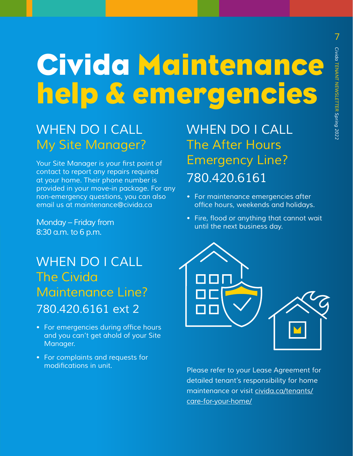# Civida Maintenance help & emergencies

### *WHEN DO I CALL My Site Manager?*

Your Site Manager is your first point of *contact to report any repairs required at your home. Their phone number is provided in your move-in package. For any non-emergency questions, you can also*  email us at maintenance@civida.ca

*Monday – Friday from*  8:30 a.m. to 6 p.m.

### *WHEN DO I CALL The Civida Maintenance Line? 780.420.6161 ext 2*

- For emergencies during office hours *and you can't get ahold of your Site Manager.*
- *For complaints and requests for*  modifications in unit.

*WHEN DO I CALL The After Hours Emergency Line? 780.420.6161* 

- *For maintenance emergencies after*  office hours, weekends and holidays.
- Fire, flood or anything that cannot wait *until the next business day.*



*Please refer to your Lease Agreement for detailed tenant's responsibility for home maintenance or visit [civida.ca/tenants/](https://civida.ca/tenants/care-for-your-home/) [care-for-your-home/](https://civida.ca/tenants/care-for-your-home/)*